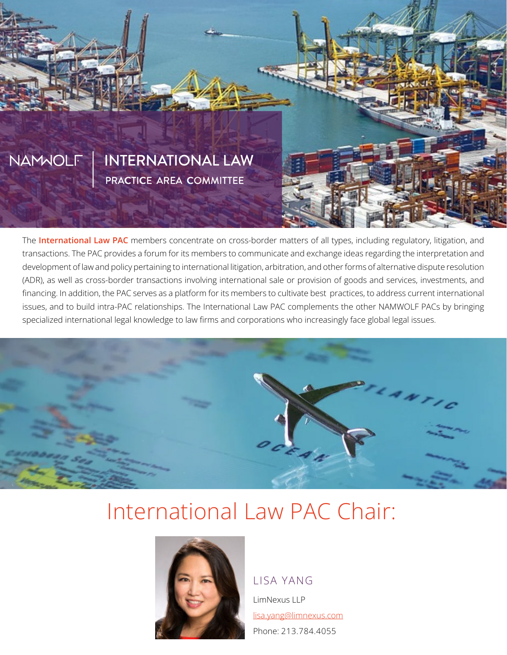

The International Law PAC members concentrate on cross-border matters of all types, including regulatory, litigation, and transactions. The PAC provides a forum for its members to communicate and exchange ideas regarding the interpretation and development of law and policy pertaining to international litigation, arbitration, and other forms of alternative dispute resolution (ADR), as well as cross-border transactions involving international sale or provision of goods and services, investments, and financing. In addition, the PAC serves as a platform for its members to cultivate best practices, to address current international issues, and to build intra-PAC relationships. The International Law PAC complements the other NAMWOLF PACs by bringing specialized international legal knowledge to law firms and corporations who increasingly face global legal issues.



# International Law PAC Chair:



#### LISA YANG

LimNexus LLP lisa.yang@limnexus.com Phone: 213.784.4055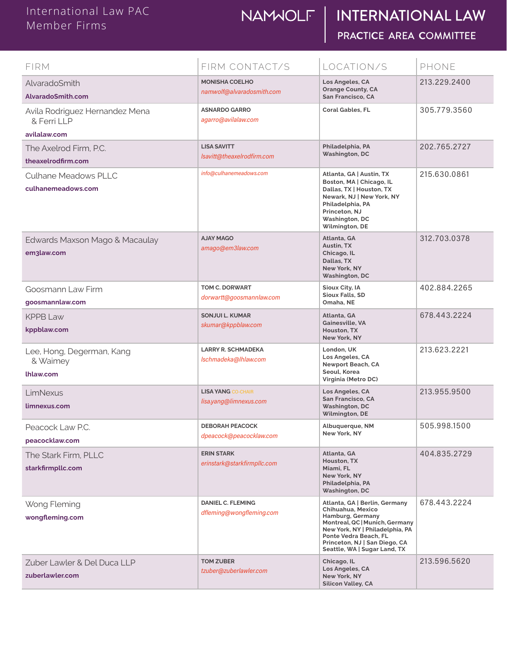## NAMUOLF | INTERNATIONAL LAW PRACTICE AREA COMMITTEE

| FIRM                                               | FIRM CONTACT/S                                       | LOCATION/S                                                                                                                                                                                                                            | PHONE        |
|----------------------------------------------------|------------------------------------------------------|---------------------------------------------------------------------------------------------------------------------------------------------------------------------------------------------------------------------------------------|--------------|
| AlvaradoSmith<br>AlvaradoSmith.com                 | <b>MONISHA COELHO</b><br>namwolf@alvaradosmith.com   | Los Angeles, CA<br><b>Orange County, CA</b><br>San Francisco, CA                                                                                                                                                                      | 213.229.2400 |
| Avila Rodriguez Hernandez Mena<br>& Ferri LLP      | <b>ASNARDO GARRO</b><br>agarro@avilalaw.com          | <b>Coral Gables, FL</b>                                                                                                                                                                                                               | 305.779.3560 |
| avilalaw.com                                       |                                                      |                                                                                                                                                                                                                                       |              |
| The Axelrod Firm, P.C.<br>theaxelrodfirm.com       | <b>LISA SAVITT</b><br>Isavitt@theaxelrodfirm.com     | Philadelphia, PA<br><b>Washington, DC</b>                                                                                                                                                                                             | 202.765.2727 |
| <b>Culhane Meadows PLLC</b><br>culhanemeadows.com  | info@culhanemeadows.com                              | Atlanta, GA   Austin, TX<br>Boston, MA   Chicago, IL<br>Dallas, TX   Houston, TX<br>Newark, NJ   New York, NY<br>Philadelphia, PA<br>Princeton, NJ<br><b>Washington, DC</b><br>Wilmington, DE                                         | 215,630,0861 |
| Edwards Maxson Mago & Macaulay<br>em3law.com       | <b>AJAY MAGO</b><br>amago@em3law.com                 | Atlanta, GA<br>Austin, TX<br>Chicago, IL<br>Dallas, TX<br>New York, NY<br><b>Washington, DC</b>                                                                                                                                       | 312,703,0378 |
| Goosmann Law Firm<br>goosmannlaw.com               | TOM C. DORWART<br>dorwartt@goosmannlaw.com           | Sioux City, IA<br><b>Sioux Falls, SD</b><br>Omaha, NE                                                                                                                                                                                 | 402,884,2265 |
| $KPPB$ aw<br>kppblaw.com                           | <b>SONJUI L. KUMAR</b><br>skumar@kppblaw.com         | Atlanta, GA<br><b>Gainesville, VA</b><br>Houston, TX<br>New York, NY                                                                                                                                                                  | 678.443.2224 |
| Lee, Hong, Degerman, Kang<br>& Waimey<br>lhlaw.com | <b>LARRY R. SCHMADEKA</b><br>lschmadeka@lhlaw.com    | London, UK<br>Los Angeles, CA<br>Newport Beach, CA<br>Seoul, Korea<br>Virginia (Metro DC)                                                                                                                                             | 213.623.2221 |
| LimNexus<br>limnexus.com                           | <b>LISA YANG CO-CHAIR</b><br>lisa.yang@limnexus.com  | Los Angeles, CA<br><b>San Francisco, CA</b><br><b>Washington, DC</b><br>Wilmington, DE                                                                                                                                                | 213.955.9500 |
| Peacock Law P.C.<br>peacocklaw.com                 | <b>DEBORAH PEACOCK</b><br>dpeacock@peacocklaw.com    | Albuquerque, NM<br>New York, NY                                                                                                                                                                                                       | 505.998.1500 |
| The Stark Firm, PLLC<br>starkfirmpllc.com          | <b>ERIN STARK</b><br>erinstark@starkfirmpllc.com     | Atlanta, GA<br>Houston, TX<br>Miami, FL<br>New York, NY<br>Philadelphia, PA<br><b>Washington, DC</b>                                                                                                                                  | 404.835.2729 |
| Wong Fleming<br>wongfleming.com                    | <b>DANIEL C. FLEMING</b><br>dfleming@wongfleming.com | Atlanta, GA   Berlin, Germany<br>Chihuahua, Mexico<br>Hamburg, Germany<br>Montreal, QC   Munich, Germany<br>New York, NY   Philadelphia, PA<br>Ponte Vedra Beach, FL<br>Princeton, NJ   San Diego, CA<br>Seattle, WA   Sugar Land, TX | 678.443.2224 |
| Zuber Lawler & Del Duca LLP<br>zuberlawler.com     | <b>TOM ZUBER</b><br>tzuber@zuberlawler.com           | Chicago, IL<br>Los Angeles, CA<br>New York, NY<br><b>Silicon Valley, CA</b>                                                                                                                                                           | 213.596.5620 |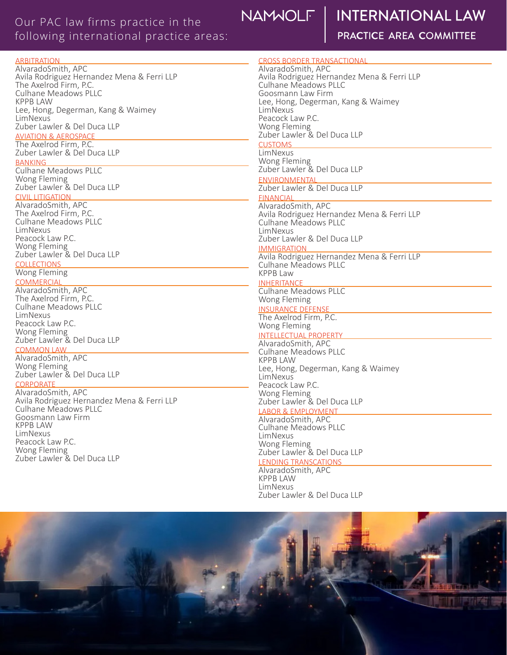#### **Foreign jurisdictions in which our PAC firms have litigated or transacted business:** Our PAC law firms practice in the following international practice areas:

## NAMWOLF

## **INTERNATIONAL LAW**

| <b>ARBITRATION</b>                         | <b>CROSS BORDER TRANSACTIONAL</b>                  |  |
|--------------------------------------------|----------------------------------------------------|--|
| AlvaradoSmith, APC                         | AlvaradoSmith, APC                                 |  |
| Avila Rodriguez Hernandez Mena & Ferri LLP | Avila Rodriguez Hernandez Mena & Ferri LLP         |  |
| The Axelrod Firm, P.C.                     | Culhane Meadows PLLC                               |  |
| <b>Culhane Meadows PLLC</b>                | Goosmann Law Firm                                  |  |
| <b>KPPB LAW</b>                            | Lee, Hong, Degerman, Kang & Waimey                 |  |
| Lee, Hong, Degerman, Kang & Waimey         | LimNexus                                           |  |
| LimNexus                                   | Peacock Law P.C.                                   |  |
| Zuber Lawler & Del Duca LLP                | Wong Fleming                                       |  |
| <b>AVIATION &amp; AEROSPACE</b>            | Zuber Lawler & Del Duca LLP                        |  |
| The Axelrod Firm, P.C.                     | <b>CUSTOMS</b>                                     |  |
| Zuber Lawler & Del Duca LLP                | LimNexus                                           |  |
| <b>BANKING</b>                             | Wong Fleming                                       |  |
| <b>Culhane Meadows PLLC</b>                | Zuber Lawler & Del Duca LLP                        |  |
| Wong Fleming                               | <b>ENVIRONMENTAL</b>                               |  |
| Zuber Lawler & Del Duca LLP                | Zuber Lawler & Del Duca LLP                        |  |
| <b>CIVIL LITIGATION</b>                    | <b>FINANCIAL</b>                                   |  |
| AlvaradoSmith, APC                         | AlvaradoSmith, APC                                 |  |
| The Axelrod Firm, P.C.                     | Avila Rodriguez Hernandez Mena & Ferri LLP         |  |
| <b>Culhane Meadows PLLC</b>                | Culhane Meadows PLLC                               |  |
| LimNexus<br>Peacock Law P.C.               | LimNexus                                           |  |
| Wong Fleming                               | Zuber Lawler & Del Duca LLP                        |  |
| Zuber Lawler & Del Duca LLP                | <b>IMMIGRATION</b>                                 |  |
| <b>COLLECTIONS</b>                         | Avila Rodriguez Hernandez Mena & Ferri LLP         |  |
| Wong Fleming                               | <b>Culhane Meadows PLLC</b><br><b>KPPB Law</b>     |  |
| COMMERCIAL                                 |                                                    |  |
| AlvaradoSmith, APC                         | <b>INHERITANCE</b><br>Culhane Meadows PLLC         |  |
| The Axelrod Firm, P.C.                     |                                                    |  |
| <b>Culhane Meadows PLLC</b>                | Wong Fleming                                       |  |
| LimNexus                                   | <b>INSURANCE DEFENSE</b><br>The Axelrod Firm, P.C. |  |
| Peacock Law P.C.                           | Wong Fleming                                       |  |
| Wong Fleming                               |                                                    |  |
| Zuber Lawler & Del Duca LLP                | <b>INTELLECTUAL PROPERTY</b><br>AlvaradoSmith, APC |  |
| <b>COMMON LAW</b>                          | <b>Culhane Meadows PLLC</b>                        |  |
| AlvaradoSmith, APC                         | <b>KPPB LAW</b>                                    |  |
| Wong Fleming                               | Lee, Hong, Degerman, Kang & Waimey                 |  |
| Zuber Lawler & Del Duca LLP                | <b>LimNexus</b>                                    |  |
| CORPORATE                                  | Peacock Law P.C.                                   |  |
| AlvaradoSmith, APC                         | Wong Fleming                                       |  |
| Avila Rodriguez Hernandez Mena & Ferri LLP | Zuber Lawler & Del Duca LLP                        |  |
| <b>Culhane Meadows PLLC</b>                | <b>LABOR &amp; EMPLOYMENT</b>                      |  |
| Goosmann Law Firm                          | AlvaradoSmith, APC                                 |  |
| KPPB LAW                                   | <b>Culhane Meadows PLLC</b>                        |  |
| LimNexus                                   | LimNexus                                           |  |
| Peacock Law P.C.                           | Wong Fleming                                       |  |
| Wong Fleming                               | Zuber Lawler & Del Duca LLP                        |  |
| Zuber Lawler & Del Duca LLP                | <b>LENDING TRANSCATIONS</b>                        |  |
|                                            | AlvaradoSmith, APC                                 |  |
|                                            | <b>KPPB LAW</b>                                    |  |
|                                            | LimNexus                                           |  |



Zuber Lawler & Del Duca LLP